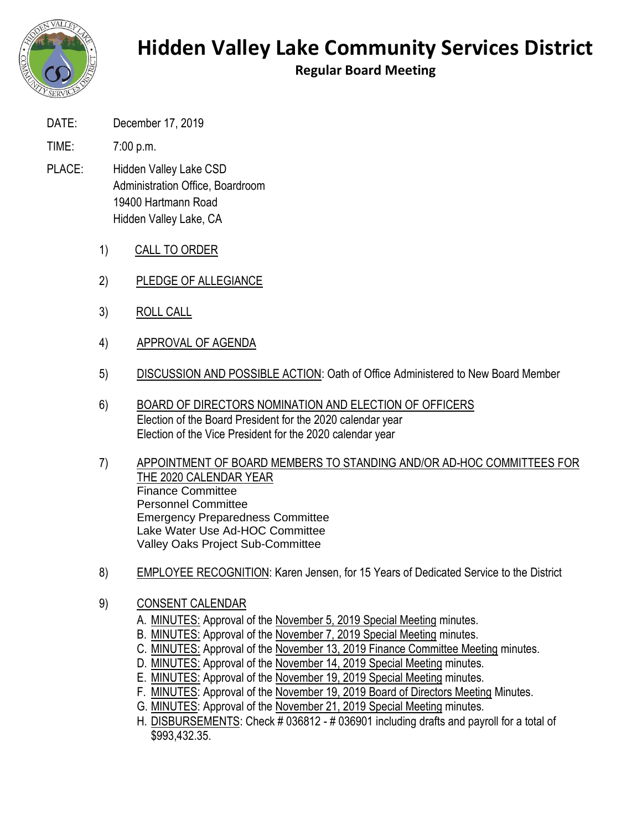

## **Hidden Valley Lake Community Services District**

**Regular Board Meeting**

- DATE: December 17, 2019
- TIME: 7:00 p.m.
- PLACE: Hidden Valley Lake CSD Administration Office, Boardroom 19400 Hartmann Road Hidden Valley Lake, CA
	- 1) CALL TO ORDER
	- 2) PLEDGE OF ALLEGIANCE
	- 3) ROLL CALL
	- 4) APPROVAL OF AGENDA
	- 5) DISCUSSION AND POSSIBLE ACTION: Oath of Office Administered to New Board Member
	- 6) BOARD OF DIRECTORS NOMINATION AND ELECTION OF OFFICERS Election of the Board President for the 2020 calendar year Election of the Vice President for the 2020 calendar year
	- 7) APPOINTMENT OF BOARD MEMBERS TO STANDING AND/OR AD-HOC COMMITTEES FOR THE 2020 CALENDAR YEAR Finance Committee Personnel Committee Emergency Preparedness Committee Lake Water Use Ad-HOC Committee Valley Oaks Project Sub-Committee
	- 8) EMPLOYEE RECOGNITION: Karen Jensen, for 15 Years of Dedicated Service to the District
	- 9) CONSENT CALENDAR
		- A. MINUTES: Approval of the November 5, 2019 Special Meeting minutes.
		- B. MINUTES: Approval of the November 7, 2019 Special Meeting minutes.
		- C. MINUTES: Approval of the November 13, 2019 Finance Committee Meeting minutes.
		- D. MINUTES: Approval of the November 14, 2019 Special Meeting minutes.
		- E. MINUTES: Approval of the November 19, 2019 Special Meeting minutes.
		- F. MINUTES: Approval of the November 19, 2019 Board of Directors Meeting Minutes.
		- G. MINUTES: Approval of the November 21, 2019 Special Meeting minutes.
		- H. DISBURSEMENTS: Check # 036812 # 036901 including drafts and payroll for a total of \$993,432.35.